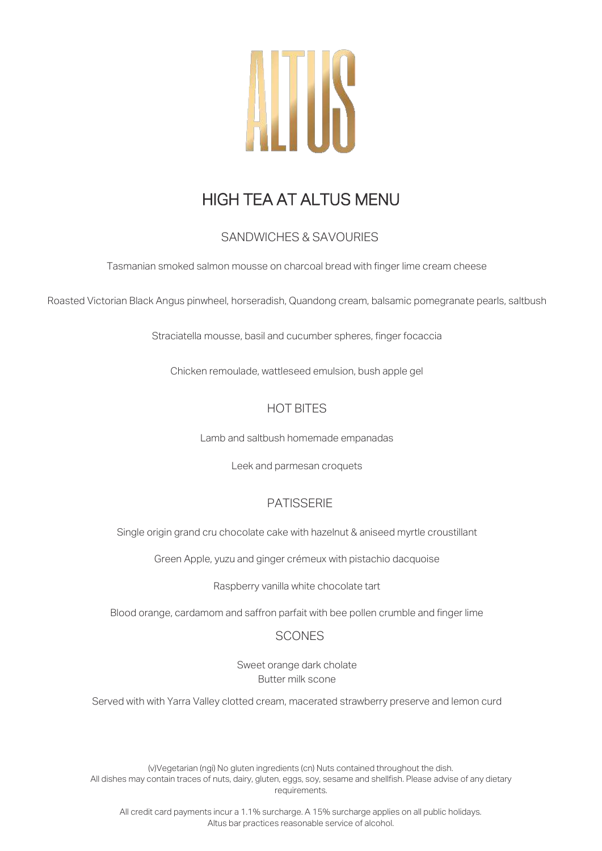

# HIGH TEA AT ALTUS MENU

## SANDWICHES & SAVOURIES

Tasmanian smoked salmon mousse on charcoal bread with finger lime cream cheese

Roasted Victorian Black Angus pinwheel, horseradish, Quandong cream, balsamic pomegranate pearls, saltbush

Straciatella mousse, basil and cucumber spheres, finger focaccia

Chicken remoulade, wattleseed emulsion, bush apple gel

### HOT BITES

Lamb and saltbush homemade empanadas

Leek and parmesan croquets

#### PATISSERIE

Single origin grand cru chocolate cake with hazelnut & aniseed myrtle croustillant

Green Apple, yuzu and ginger crémeux with pistachio dacquoise

Raspberry vanilla white chocolate tart

Blood orange, cardamom and saffron parfait with bee pollen crumble and finger lime

#### **SCONES**

Sweet orange dark cholate Butter milk scone

Served with with Yarra Valley clotted cream, macerated strawberry preserve and lemon curd

(v)Vegetarian (ngi) No gluten ingredients (cn) Nuts contained throughout the dish. All dishes may contain traces of nuts, dairy, gluten, eggs, soy, sesame and shellfish. Please advise of any dietary requirements.

All credit card payments incur a 1.1% surcharge. A 15% surcharge applies on all public holidays. Altus bar practices reasonable service of alcohol.